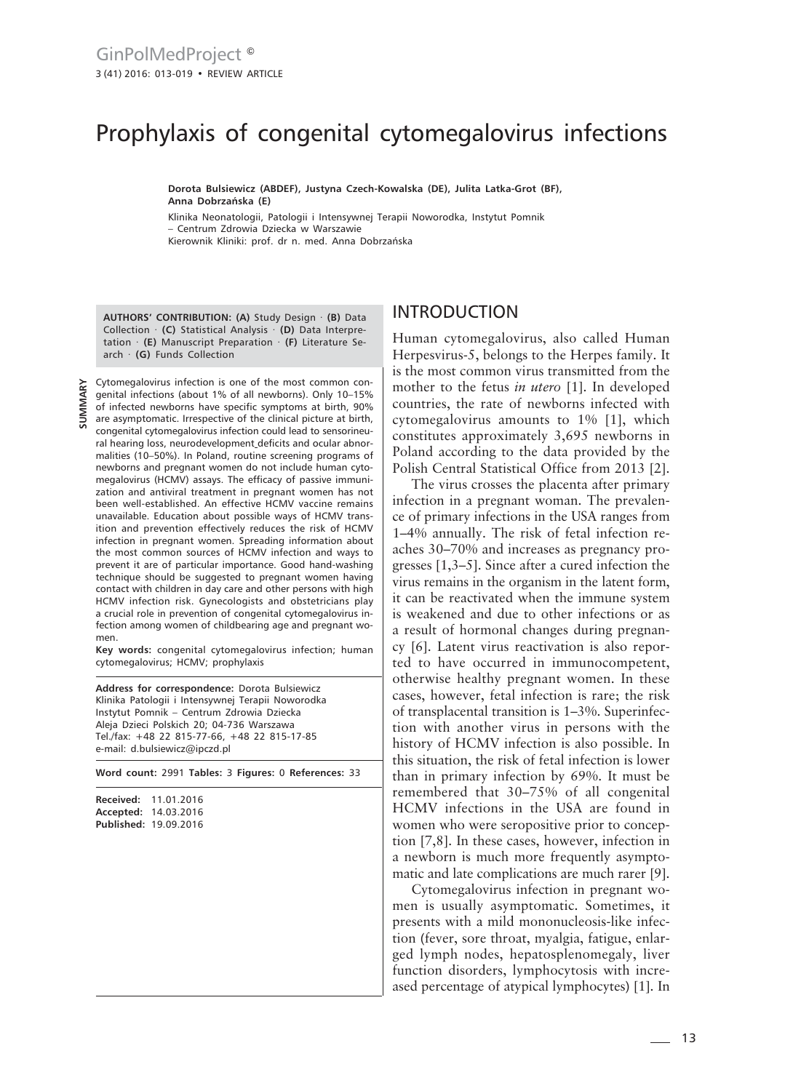# Prophylaxis of congenital cytomegalovirus infections

**Dorota Bulsiewicz (ABDEF), Justyna Czech-Kowalska (DE), Julita Latka-Grot (BF), Anna Dobrzańska (E)**

Klinika Neonatologii, Patologii i Intensywnej Terapii Noworodka, Instytut Pomnik – Centrum Zdrowia Dziecka w Warszawie

Kierownik Kliniki: prof. dr n. med. Anna Dobrzańska

**AUTHORS' CONTRIBUTION: (A)** Study Design · **(B)** Data Collection · **(C)** Statistical Analysis · **(D)** Data Interpretation · **(E)** Manuscript Preparation · **(F)** Literature Search · **(G)** Funds Collection

Cytomegalovirus infection is one of the most common congenital infections (about 1% of all newborns). Only 10–15% of infected newborns have specific symptoms at birth, 90% are asymptomatic. Irrespective of the clinical picture at birth, congenital cytomegalovirus infection could lead to sensorineural hearing loss, neurodevelopment deficits and ocular abnormalities (10–50%). In Poland, routine screening programs of newborns and pregnant women do not include human cytomegalovirus (HCMV) assays. The efficacy of passive immunization and antiviral treatment in pregnant women has not been well-established. An effective HCMV vaccine remains unavailable. Education about possible ways of HCMV transition and prevention effectively reduces the risk of HCMV infection in pregnant women. Spreading information about the most common sources of HCMV infection and ways to prevent it are of particular importance. Good hand-washing technique should be suggested to pregnant women having contact with children in day care and other persons with high HCMV infection risk. Gynecologists and obstetricians play a crucial role in prevention of congenital cytomegalovirus infection among women of childbearing age and pregnant women.

**Key words:** congenital cytomegalovirus infection; human cytomegalovirus; HCMV; prophylaxis

**Address for correspondence:** Dorota Bulsiewicz Klinika Patologii i Intensywnej Terapii Noworodka Instytut Pomnik – Centrum Zdrowia Dziecka Aleja Dzieci Polskich 20; 04-736 Warszawa Tel./fax: +48 22 815-77-66, +48 22 815-17-85 e-mail: d.bulsiewicz@ipczd.pl

**Word count:** 2991 **Tables:** 3 **Figures:** 0 **References:** 33

**Received:** 11.01.2016 **Accepted:** 14.03.2016 **Published:** 19.09.2016

### INTRODUCTION

Human cytomegalovirus, also called Human Herpesvirus-5, belongs to the Herpes family. It is the most common virus transmitted from the mother to the fetus *in utero* [1]. In developed countries, the rate of newborns infected with cytomegalovirus amounts to 1% [1], which constitutes approximately 3,695 newborns in Poland according to the data provided by the Polish Central Statistical Office from 2013 [2].

The virus crosses the placenta after primary infection in a pregnant woman. The prevalence of primary infections in the USA ranges from 1–4% annually. The risk of fetal infection reaches 30–70% and increases as pregnancy progresses [1,3–5]. Since after a cured infection the virus remains in the organism in the latent form, it can be reactivated when the immune system is weakened and due to other infections or as a result of hormonal changes during pregnancy [6]. Latent virus reactivation is also reported to have occurred in immunocompetent, otherwise healthy pregnant women. In these cases, however, fetal infection is rare; the risk of transplacental transition is 1–3%. Superinfection with another virus in persons with the history of HCMV infection is also possible. In this situation, the risk of fetal infection is lower than in primary infection by 69%. It must be remembered that 30–75% of all congenital HCMV infections in the USA are found in women who were seropositive prior to conception [7,8]. In these cases, however, infection in a newborn is much more frequently asymptomatic and late complications are much rarer [9].

Cytomegalovirus infection in pregnant women is usually asymptomatic. Sometimes, it presents with a mild mononucleosis-like infection (fever, sore throat, myalgia, fatigue, enlarged lymph nodes, hepatosplenomegaly, liver function disorders, lymphocytosis with increased percentage of atypical lymphocytes) [1]. In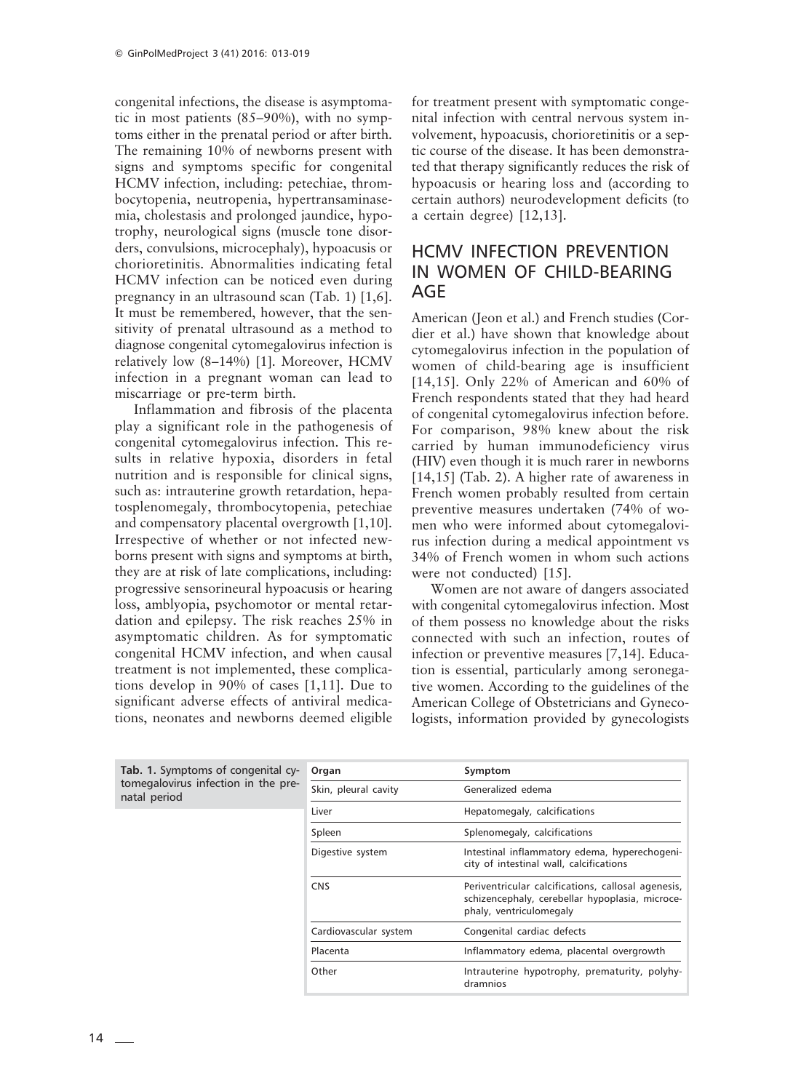congenital infections, the disease is asymptomatic in most patients (85–90%), with no symptoms either in the prenatal period or after birth. The remaining 10% of newborns present with signs and symptoms specific for congenital HCMV infection, including: petechiae, thrombocytopenia, neutropenia, hypertransaminasemia, cholestasis and prolonged jaundice, hypotrophy, neurological signs (muscle tone disorders, convulsions, microcephaly), hypoacusis or chorioretinitis. Abnormalities indicating fetal HCMV infection can be noticed even during pregnancy in an ultrasound scan (Tab. 1) [1,6]. It must be remembered, however, that the sensitivity of prenatal ultrasound as a method to diagnose congenital cytomegalovirus infection is relatively low (8–14%) [1]. Moreover, HCMV infection in a pregnant woman can lead to miscarriage or pre-term birth.

Inflammation and fibrosis of the placenta play a significant role in the pathogenesis of congenital cytomegalovirus infection. This results in relative hypoxia, disorders in fetal nutrition and is responsible for clinical signs, such as: intrauterine growth retardation, hepatosplenomegaly, thrombocytopenia, petechiae and compensatory placental overgrowth [1,10]. Irrespective of whether or not infected newborns present with signs and symptoms at birth, they are at risk of late complications, including: progressive sensorineural hypoacusis or hearing loss, amblyopia, psychomotor or mental retardation and epilepsy. The risk reaches 25% in asymptomatic children. As for symptomatic congenital HCMV infection, and when causal treatment is not implemented, these complications develop in 90% of cases [1,11]. Due to significant adverse effects of antiviral medications, neonates and newborns deemed eligible

for treatment present with symptomatic congenital infection with central nervous system involvement, hypoacusis, chorioretinitis or a septic course of the disease. It has been demonstrated that therapy significantly reduces the risk of hypoacusis or hearing loss and (according to certain authors) neurodevelopment deficits (to a certain degree) [12,13].

# HCMV INFECTION PREVENTION IN WOMEN OF CHILD-BEARING AGE

American (Jeon et al.) and French studies (Cordier et al.) have shown that knowledge about cytomegalovirus infection in the population of women of child-bearing age is insufficient [14,15]. Only 22% of American and 60% of French respondents stated that they had heard of congenital cytomegalovirus infection before. For comparison, 98% knew about the risk carried by human immunodeficiency virus (HIV) even though it is much rarer in newborns [14,15] (Tab. 2). A higher rate of awareness in French women probably resulted from certain preventive measures undertaken (74% of women who were informed about cytomegalovirus infection during a medical appointment vs 34% of French women in whom such actions were not conducted) [15].

Women are not aware of dangers associated with congenital cytomegalovirus infection. Most of them possess no knowledge about the risks connected with such an infection, routes of infection or preventive measures [7,14]. Education is essential, particularly among seronegative women. According to the guidelines of the American College of Obstetricians and Gynecologists, information provided by gynecologists

| . Symptoms of congenital cy-             | Organ                 | Symptom                                                                                                                          |
|------------------------------------------|-----------------------|----------------------------------------------------------------------------------------------------------------------------------|
| alovirus infection in the pre-<br>period | Skin, pleural cavity  | Generalized edema                                                                                                                |
|                                          | Liver                 | Hepatomegaly, calcifications                                                                                                     |
|                                          | Spleen                | Splenomegaly, calcifications                                                                                                     |
|                                          | Digestive system      | Intestinal inflammatory edema, hyperechogeni-<br>city of intestinal wall, calcifications                                         |
|                                          | <b>CNS</b>            | Periventricular calcifications, callosal agenesis,<br>schizencephaly, cerebellar hypoplasia, microce-<br>phaly, ventriculomegaly |
|                                          | Cardiovascular system | Congenital cardiac defects                                                                                                       |
|                                          | Placenta              | Inflammatory edema, placental overgrowth                                                                                         |
|                                          | Other                 | Intrauterine hypotrophy, prematurity, polyhy-<br>dramnios                                                                        |
|                                          |                       |                                                                                                                                  |

**Tab. 1** tomeg natal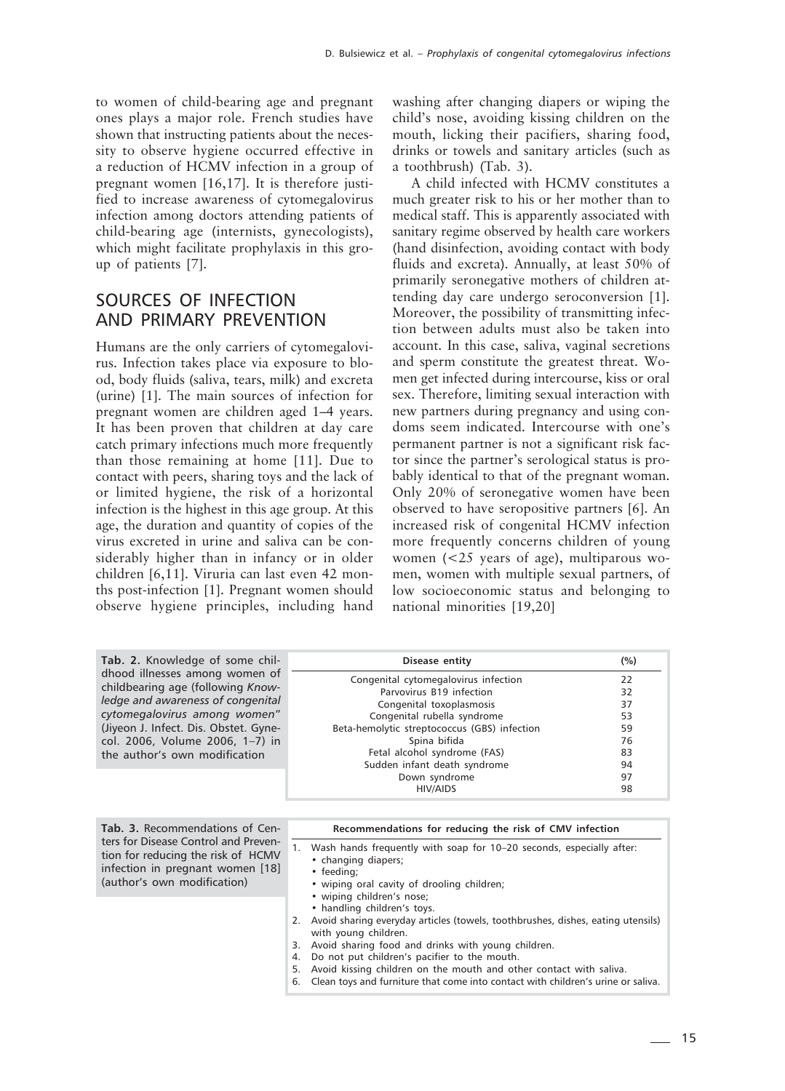to women of child-bearing age and pregnant ones plays a major role. French studies have shown that instructing patients about the necessity to observe hygiene occurred effective in a reduction of HCMV infection in a group of pregnant women [16,17]. It is therefore justified to increase awareness of cytomegalovirus infection among doctors attending patients of child-bearing age (internists, gynecologists), which might facilitate prophylaxis in this group of patients [7].

# SOURCES OF INFECTION AND PRIMARY PREVENTION

Humans are the only carriers of cytomegalovirus. Infection takes place via exposure to blood, body fluids (saliva, tears, milk) and excreta (urine) [1]. The main sources of infection for pregnant women are children aged 1–4 years. It has been proven that children at day care catch primary infections much more frequently than those remaining at home [11]. Due to contact with peers, sharing toys and the lack of or limited hygiene, the risk of a horizontal infection is the highest in this age group. At this age, the duration and quantity of copies of the virus excreted in urine and saliva can be considerably higher than in infancy or in older children [6,11]. Viruria can last even 42 months post-infection [1]. Pregnant women should observe hygiene principles, including hand

washing after changing diapers or wiping the child's nose, avoiding kissing children on the mouth, licking their pacifiers, sharing food, drinks or towels and sanitary articles (such as a toothbrush) (Tab. 3).

A child infected with HCMV constitutes a much greater risk to his or her mother than to medical staff. This is apparently associated with sanitary regime observed by health care workers (hand disinfection, avoiding contact with body fluids and excreta). Annually, at least 50% of primarily seronegative mothers of children attending day care undergo seroconversion [1]. Moreover, the possibility of transmitting infection between adults must also be taken into account. In this case, saliva, vaginal secretions and sperm constitute the greatest threat. Women get infected during intercourse, kiss or oral sex. Therefore, limiting sexual interaction with new partners during pregnancy and using condoms seem indicated. Intercourse with one's permanent partner is not a significant risk factor since the partner's serological status is probably identical to that of the pregnant woman. Only 20% of seronegative women have been observed to have seropositive partners [6]. An increased risk of congenital HCMV infection more frequently concerns children of young women (<25 years of age), multiparous women, women with multiple sexual partners, of low socioeconomic status and belonging to national minorities [19,20]

| Tab. 2. Knowledge of some chil-                                                                                                                                                                                                                       | Disease entity                                                                                                                                                                                                              | (%)                                    |
|-------------------------------------------------------------------------------------------------------------------------------------------------------------------------------------------------------------------------------------------------------|-----------------------------------------------------------------------------------------------------------------------------------------------------------------------------------------------------------------------------|----------------------------------------|
| dhood illnesses among women of<br>childbearing age (following Know-<br>ledge and awareness of congenital<br>cytomegalovirus among women"<br>(Jiyeon J. Infect. Dis. Obstet. Gyne-<br>col. 2006, Volume 2006, 1-7) in<br>the author's own modification | Congenital cytomegalovirus infection<br>Parvovirus B19 infection<br>Congenital toxoplasmosis<br>Congenital rubella syndrome<br>Beta-hemolytic streptococcus (GBS) infection<br>Spina bifida<br>Fetal alcohol syndrome (FAS) | 22<br>32<br>37<br>53<br>59<br>76<br>83 |
|                                                                                                                                                                                                                                                       | Sudden infant death syndrome<br>Down syndrome<br><b>HIV/AIDS</b>                                                                                                                                                            | 94<br>97<br>98                         |

**Tab. 3.** Recommendations of Centers for Disease Control and Prevention for reducing the risk of HCMV infection in pregnant women [18] (author's own modification)

#### **Recommendations for reducing the risk of CMV infection**

- 1. Wash hands frequently with soap for 10–20 seconds, especially after: • changing diapers;
	- feeding;
	- wiping oral cavity of drooling children;
	- wiping children's nose;
	- handling children's toys.
- 2. Avoid sharing everyday articles (towels, toothbrushes, dishes, eating utensils) with young children.
- 3. Avoid sharing food and drinks with young children.
- 4. Do not put children's pacifier to the mouth.
- 5. Avoid kissing children on the mouth and other contact with saliva.
- 6. Clean toys and furniture that come into contact with children's urine or saliva.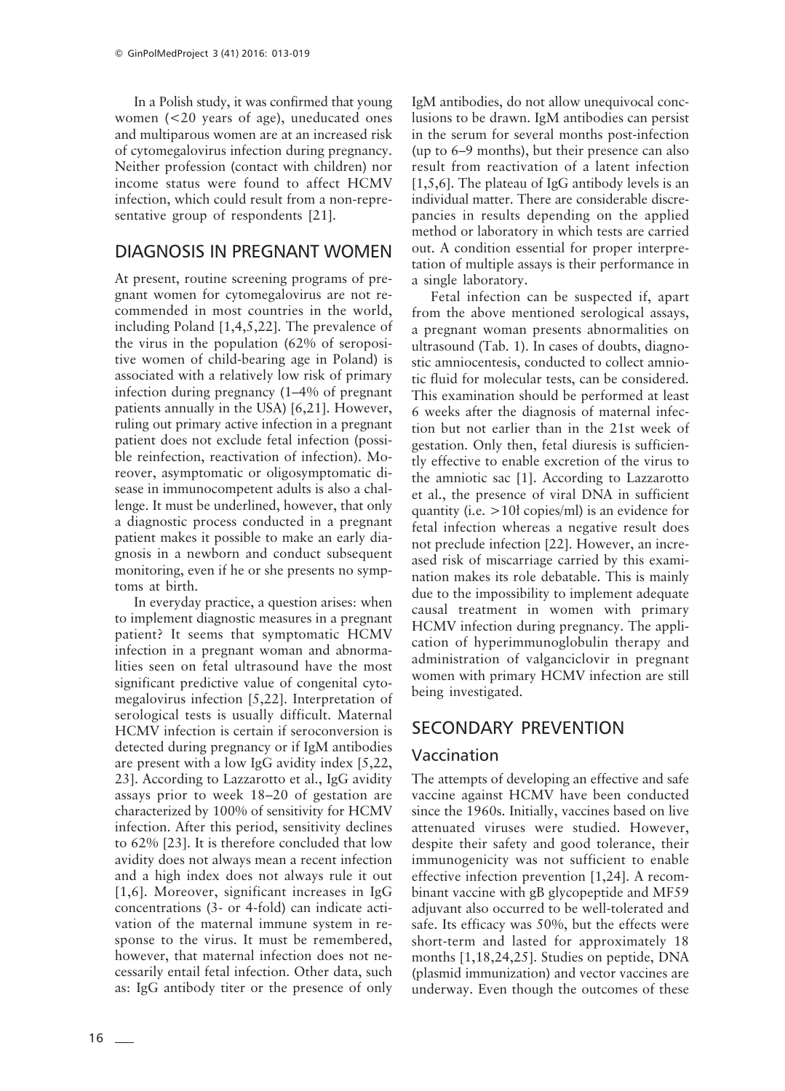In a Polish study, it was confirmed that young women (<20 years of age), uneducated ones and multiparous women are at an increased risk of cytomegalovirus infection during pregnancy. Neither profession (contact with children) nor income status were found to affect HCMV infection, which could result from a non-representative group of respondents [21].

## DIAGNOSIS IN PREGNANT WOMEN

At present, routine screening programs of pregnant women for cytomegalovirus are not recommended in most countries in the world, including Poland [1,4,5,22]. The prevalence of the virus in the population (62% of seropositive women of child-bearing age in Poland) is associated with a relatively low risk of primary infection during pregnancy (1–4% of pregnant patients annually in the USA) [6,21]. However, ruling out primary active infection in a pregnant patient does not exclude fetal infection (possible reinfection, reactivation of infection). Moreover, asymptomatic or oligosymptomatic disease in immunocompetent adults is also a challenge. It must be underlined, however, that only a diagnostic process conducted in a pregnant patient makes it possible to make an early diagnosis in a newborn and conduct subsequent monitoring, even if he or she presents no symptoms at birth.

In everyday practice, a question arises: when to implement diagnostic measures in a pregnant patient? It seems that symptomatic HCMV infection in a pregnant woman and abnormalities seen on fetal ultrasound have the most significant predictive value of congenital cytomegalovirus infection [5,22]. Interpretation of serological tests is usually difficult. Maternal HCMV infection is certain if seroconversion is detected during pregnancy or if IgM antibodies are present with a low IgG avidity index [5,22, 23]. According to Lazzarotto et al., IgG avidity assays prior to week 18–20 of gestation are characterized by 100% of sensitivity for HCMV infection. After this period, sensitivity declines to 62% [23]. It is therefore concluded that low avidity does not always mean a recent infection and a high index does not always rule it out [1,6]. Moreover, significant increases in IgG concentrations (3- or 4-fold) can indicate activation of the maternal immune system in response to the virus. It must be remembered, however, that maternal infection does not necessarily entail fetal infection. Other data, such as: IgG antibody titer or the presence of only

IgM antibodies, do not allow unequivocal conclusions to be drawn. IgM antibodies can persist in the serum for several months post-infection (up to 6–9 months), but their presence can also result from reactivation of a latent infection [1,5,6]. The plateau of IgG antibody levels is an individual matter. There are considerable discrepancies in results depending on the applied method or laboratory in which tests are carried out. A condition essential for proper interpretation of multiple assays is their performance in a single laboratory.

Fetal infection can be suspected if, apart from the above mentioned serological assays, a pregnant woman presents abnormalities on ultrasound (Tab. 1). In cases of doubts, diagnostic amniocentesis, conducted to collect amniotic fluid for molecular tests, can be considered. This examination should be performed at least 6 weeks after the diagnosis of maternal infection but not earlier than in the 21st week of gestation. Only then, fetal diuresis is sufficiently effective to enable excretion of the virus to the amniotic sac [1]. According to Lazzarotto et al., the presence of viral DNA in sufficient quantity (i.e. >10ł copies/ml) is an evidence for fetal infection whereas a negative result does not preclude infection [22]. However, an increased risk of miscarriage carried by this examination makes its role debatable. This is mainly due to the impossibility to implement adequate causal treatment in women with primary HCMV infection during pregnancy. The application of hyperimmunoglobulin therapy and administration of valganciclovir in pregnant women with primary HCMV infection are still being investigated.

#### SECONDARY PREVENTION

#### Vaccination

The attempts of developing an effective and safe vaccine against HCMV have been conducted since the 1960s. Initially, vaccines based on live attenuated viruses were studied. However, despite their safety and good tolerance, their immunogenicity was not sufficient to enable effective infection prevention [1,24]. A recombinant vaccine with gB glycopeptide and MF59 adjuvant also occurred to be well-tolerated and safe. Its efficacy was 50%, but the effects were short-term and lasted for approximately 18 months [1,18,24,25]. Studies on peptide, DNA (plasmid immunization) and vector vaccines are underway. Even though the outcomes of these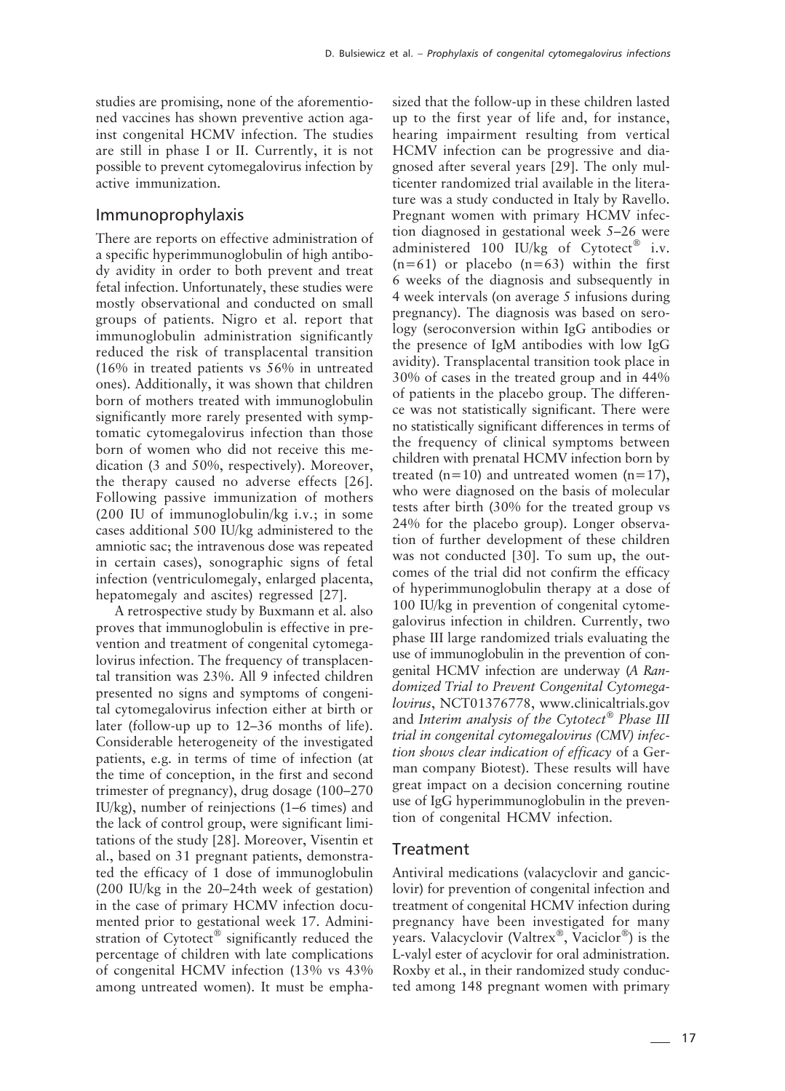studies are promising, none of the aforementioned vaccines has shown preventive action against congenital HCMV infection. The studies are still in phase I or II. Currently, it is not possible to prevent cytomegalovirus infection by active immunization.

#### Immunoprophylaxis

There are reports on effective administration of a specific hyperimmunoglobulin of high antibody avidity in order to both prevent and treat fetal infection. Unfortunately, these studies were mostly observational and conducted on small groups of patients. Nigro et al. report that immunoglobulin administration significantly reduced the risk of transplacental transition (16% in treated patients vs 56% in untreated ones). Additionally, it was shown that children born of mothers treated with immunoglobulin significantly more rarely presented with symptomatic cytomegalovirus infection than those born of women who did not receive this medication (3 and 50%, respectively). Moreover, the therapy caused no adverse effects [26]. Following passive immunization of mothers (200 IU of immunoglobulin/kg i.v.; in some cases additional 500 IU/kg administered to the amniotic sac; the intravenous dose was repeated in certain cases), sonographic signs of fetal infection (ventriculomegaly, enlarged placenta, hepatomegaly and ascites) regressed [27].

A retrospective study by Buxmann et al. also proves that immunoglobulin is effective in prevention and treatment of congenital cytomegalovirus infection. The frequency of transplacental transition was 23%. All 9 infected children presented no signs and symptoms of congenital cytomegalovirus infection either at birth or later (follow-up up to 12–36 months of life). Considerable heterogeneity of the investigated patients, e.g. in terms of time of infection (at the time of conception, in the first and second trimester of pregnancy), drug dosage (100–270 IU/kg), number of reinjections (1–6 times) and the lack of control group, were significant limitations of the study [28]. Moreover, Visentin et al., based on 31 pregnant patients, demonstrated the efficacy of 1 dose of immunoglobulin (200 IU/kg in the 20–24th week of gestation) in the case of primary HCMV infection documented prior to gestational week 17. Administration of Cytotect<sup>®</sup> significantly reduced the percentage of children with late complications of congenital HCMV infection (13% vs 43% among untreated women). It must be emphasized that the follow-up in these children lasted up to the first year of life and, for instance, hearing impairment resulting from vertical HCMV infection can be progressive and diagnosed after several years [29]. The only multicenter randomized trial available in the literature was a study conducted in Italy by Ravello. Pregnant women with primary HCMV infection diagnosed in gestational week 5–26 were administered 100 IU/kg of Cytotect® i.v.  $(n=61)$  or placebo  $(n=63)$  within the first 6 weeks of the diagnosis and subsequently in 4 week intervals (on average 5 infusions during pregnancy). The diagnosis was based on serology (seroconversion within IgG antibodies or the presence of IgM antibodies with low IgG avidity). Transplacental transition took place in 30% of cases in the treated group and in 44% of patients in the placebo group. The difference was not statistically significant. There were no statistically significant differences in terms of the frequency of clinical symptoms between children with prenatal HCMV infection born by treated (n=10) and untreated women (n=17), who were diagnosed on the basis of molecular tests after birth (30% for the treated group vs 24% for the placebo group). Longer observation of further development of these children was not conducted [30]. To sum up, the outcomes of the trial did not confirm the efficacy of hyperimmunoglobulin therapy at a dose of 100 IU/kg in prevention of congenital cytomegalovirus infection in children. Currently, two phase III large randomized trials evaluating the use of immunoglobulin in the prevention of congenital HCMV infection are underway (*A Randomized Trial to Prevent Congenital Cytomegalovirus*, NCT01376778, www.clinicaltrials.gov and *Interim analysis of the Cytotect® Phase III trial in congenital cytomegalovirus (CMV) infection shows clear indication of efficacy* of a German company Biotest). These results will have great impact on a decision concerning routine use of IgG hyperimmunoglobulin in the prevention of congenital HCMV infection.

#### Treatment

Antiviral medications (valacyclovir and ganciclovir) for prevention of congenital infection and treatment of congenital HCMV infection during pregnancy have been investigated for many years. Valacyclovir (Valtrex®, Vaciclor®) is the L-valyl ester of acyclovir for oral administration. Roxby et al., in their randomized study conducted among 148 pregnant women with primary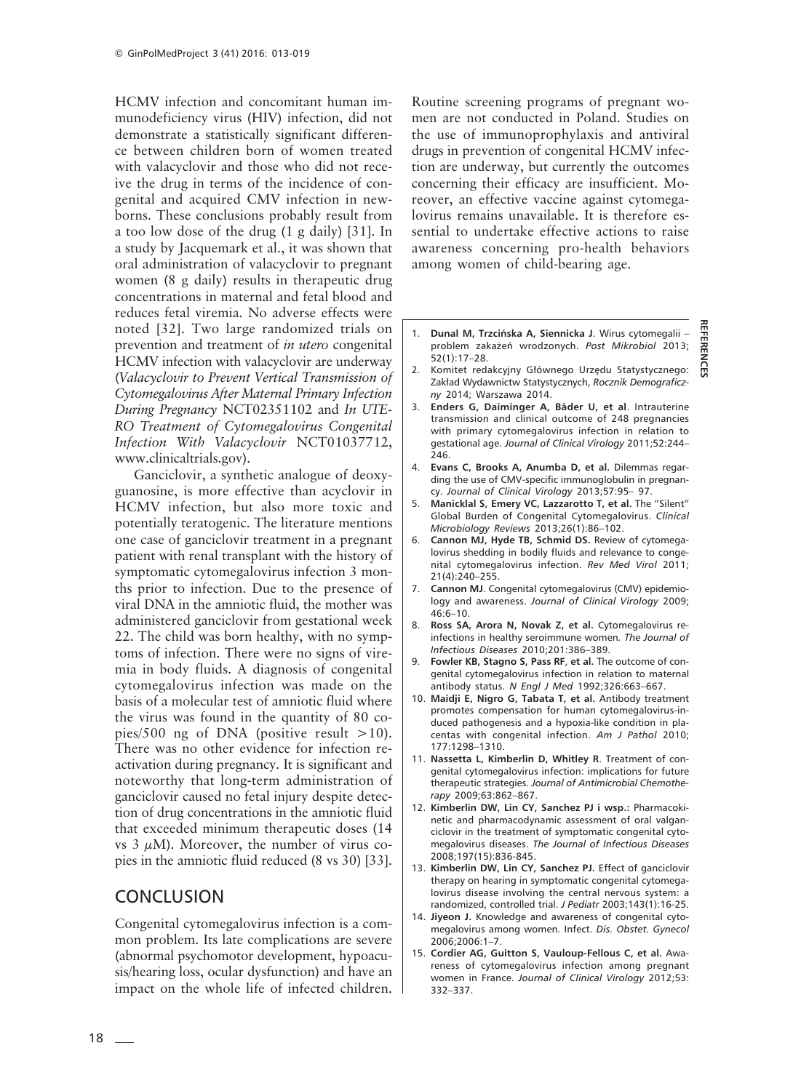HCMV infection and concomitant human immunodeficiency virus (HIV) infection, did not demonstrate a statistically significant difference between children born of women treated with valacyclovir and those who did not receive the drug in terms of the incidence of congenital and acquired CMV infection in newborns. These conclusions probably result from a too low dose of the drug (1 g daily) [31]. In a study by Jacquemark et al., it was shown that oral administration of valacyclovir to pregnant women (8 g daily) results in therapeutic drug concentrations in maternal and fetal blood and reduces fetal viremia. No adverse effects were noted [32]. Two large randomized trials on prevention and treatment of *in utero* congenital HCMV infection with valacyclovir are underway (*Valacyclovir to Prevent Vertical Transmission of Cytomegalovirus After Maternal Primary Infection During Pregnancy* NCT02351102 and *In UTE-RO Treatment of Cytomegalovirus Congenital Infection With Valacyclovir* NCT01037712, www.clinicaltrials.gov).

Ganciclovir, a synthetic analogue of deoxyguanosine, is more effective than acyclovir in HCMV infection, but also more toxic and potentially teratogenic. The literature mentions one case of ganciclovir treatment in a pregnant patient with renal transplant with the history of symptomatic cytomegalovirus infection 3 months prior to infection. Due to the presence of viral DNA in the amniotic fluid, the mother was administered ganciclovir from gestational week 22. The child was born healthy, with no symptoms of infection. There were no signs of viremia in body fluids. A diagnosis of congenital cytomegalovirus infection was made on the basis of a molecular test of amniotic fluid where the virus was found in the quantity of 80 copies/500 ng of DNA (positive result  $>10$ ). There was no other evidence for infection reactivation during pregnancy. It is significant and noteworthy that long-term administration of ganciclovir caused no fetal injury despite detection of drug concentrations in the amniotic fluid that exceeded minimum therapeutic doses (14 vs  $3 \mu M$ ). Moreover, the number of virus copies in the amniotic fluid reduced (8 vs 30) [33].

#### **CONCLUSION**

Congenital cytomegalovirus infection is a common problem. Its late complications are severe (abnormal psychomotor development, hypoacusis/hearing loss, ocular dysfunction) and have an impact on the whole life of infected children.

Routine screening programs of pregnant women are not conducted in Poland. Studies on the use of immunoprophylaxis and antiviral drugs in prevention of congenital HCMV infection are underway, but currently the outcomes concerning their efficacy are insufficient. Moreover, an effective vaccine against cytomegalovirus remains unavailable. It is therefore essential to undertake effective actions to raise awareness concerning pro-health behaviors among women of child-bearing age.

1. **Dunal M, Trzcińska A, Siennicka J**. Wirus cytomegalii – problem zakażeń wrodzonych. *Post Mikrobiol* 2013;  $52(1):17-28$ 

**REFERENCES**

**GFEREN** 

- 2. Komitet redakcyjny Głównego Urzędu Statystycznego: Zakład Wydawnictw Statystycznych, *Rocznik Demograficzny* 2014; Warszawa 2014.
- 3. **Enders G, Daiminger A, Bäder U, et al**. Intrauterine transmission and clinical outcome of 248 pregnancies with primary cytomegalovirus infection in relation to gestational age. *Journal of Clinical Virology* 2011;52:244– 246
- 4. **Evans C, Brooks A, Anumba D, et al.** Dilemmas regarding the use of CMV-specific immunoglobulin in pregnancy. *Journal of Clinical Virology* 2013;57:95– 97.
- 5. **Manicklal S, Emery VC, Lazzarotto T, et al.** The "Silent" Global Burden of Congenital Cytomegalovirus. *Clinical Microbiology Reviews* 2013;26(1):86–102.
- 6. **Cannon MJ, Hyde TB, Schmid DS.** Review of cytomegalovirus shedding in bodily fluids and relevance to congenital cytomegalovirus infection. *Rev Med Virol* 2011; 21(4):240–255.
- Cannon MJ. Congenital cytomegalovirus (CMV) epidemiology and awareness. *Journal of Clinical Virology* 2009; 46:6–10.
- 8. **Ross SA, Arora N, Novak Z, et al.** Cytomegalovirus reinfections in healthy seroimmune women*. The Journal of Infectious Diseases* 2010;201:386–389.
- 9. **Fowler KB, Stagno S, Pass RF**, **et al.** The outcome of congenital cytomegalovirus infection in relation to maternal antibody status. *N Engl J Med* 1992;326:663–667.
- 10. **Maidji E, Nigro G, Tabata T, et al.** Antibody treatment promotes compensation for human cytomegalovirus-induced pathogenesis and a hypoxia-like condition in placentas with congenital infection. *Am J Pathol* 2010; 177:1298–1310.
- 11. **Nassetta L, Kimberlin D, Whitley R**. Treatment of congenital cytomegalovirus infection: implications for future therapeutic strategies. *Journal of Antimicrobial Chemotherapy* 2009;63:862–867.
- 12. **Kimberlin DW, Lin CY, Sanchez PJ i wsp.:** Pharmacokinetic and pharmacodynamic assessment of oral valganciclovir in the treatment of symptomatic congenital cytomegalovirus diseases. *The Journal of Infectious Diseases* 2008;197(15):836-845.
- 13. **Kimberlin DW, Lin CY, Sanchez PJ.** Effect of ganciclovir therapy on hearing in symptomatic congenital cytomegalovirus disease involving the central nervous system: a randomized, controlled trial. *J Pediatr* 2003;143(1):16-25.
- 14. **Jiyeon J.** Knowledge and awareness of congenital cytomegalovirus among women. Infect. *Dis. Obstet. Gynecol* 2006;2006:1–7.
- 15. **Cordier AG, Guitton S, Vauloup-Fellous C, et al.** Awareness of cytomegalovirus infection among pregnant women in France. *Journal of Clinical Virology* 2012;53: 332–337.